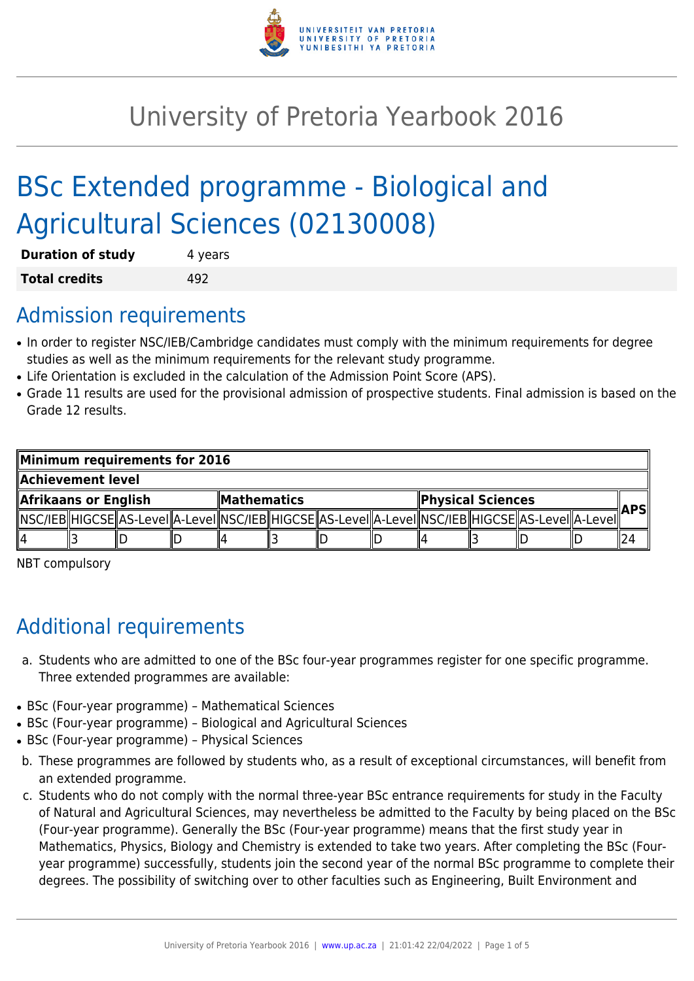

# University of Pretoria Yearbook 2016

# BSc Extended programme - Biological and Agricultural Sciences (02130008)

| <b>Duration of study</b> | 4 years |  |  |  |
|--------------------------|---------|--|--|--|
| <b>Total credits</b>     | 492     |  |  |  |

## Admission requirements

- In order to register NSC/IEB/Cambridge candidates must comply with the minimum requirements for degree studies as well as the minimum requirements for the relevant study programme.
- Life Orientation is excluded in the calculation of the Admission Point Score (APS).
- Grade 11 results are used for the provisional admission of prospective students. Final admission is based on the Grade 12 results.

| Minimum requirements for 2016 |  |  |                    |  |  |                   |  |  |  |                                                                                                            |  |  |
|-------------------------------|--|--|--------------------|--|--|-------------------|--|--|--|------------------------------------------------------------------------------------------------------------|--|--|
| Achievement level             |  |  |                    |  |  |                   |  |  |  |                                                                                                            |  |  |
| Afrikaans or English          |  |  | <b>Mathematics</b> |  |  | Physical Sciences |  |  |  | <b>APS</b>                                                                                                 |  |  |
|                               |  |  |                    |  |  |                   |  |  |  | NSC/IEB  HIGCSE  AS-LeveI  A-LeveI  NSC/IEB  HIGCSE  AS-LeveI  A-LeveI  NSC/IEB  HIGCSE  AS-LeveI  A-LeveI |  |  |
| ll4                           |  |  |                    |  |  |                   |  |  |  |                                                                                                            |  |  |

NBT compulsory

# Additional requirements

- a. Students who are admitted to one of the BSc four-year programmes register for one specific programme. Three extended programmes are available:
- BSc (Four-year programme) Mathematical Sciences
- BSc (Four-year programme) Biological and Agricultural Sciences
- BSc (Four-year programme) Physical Sciences
- b. These programmes are followed by students who, as a result of exceptional circumstances, will benefit from an extended programme.
- c. Students who do not comply with the normal three-year BSc entrance requirements for study in the Faculty of Natural and Agricultural Sciences, may nevertheless be admitted to the Faculty by being placed on the BSc (Four-year programme). Generally the BSc (Four-year programme) means that the first study year in Mathematics, Physics, Biology and Chemistry is extended to take two years. After completing the BSc (Fouryear programme) successfully, students join the second year of the normal BSc programme to complete their degrees. The possibility of switching over to other faculties such as Engineering, Built Environment and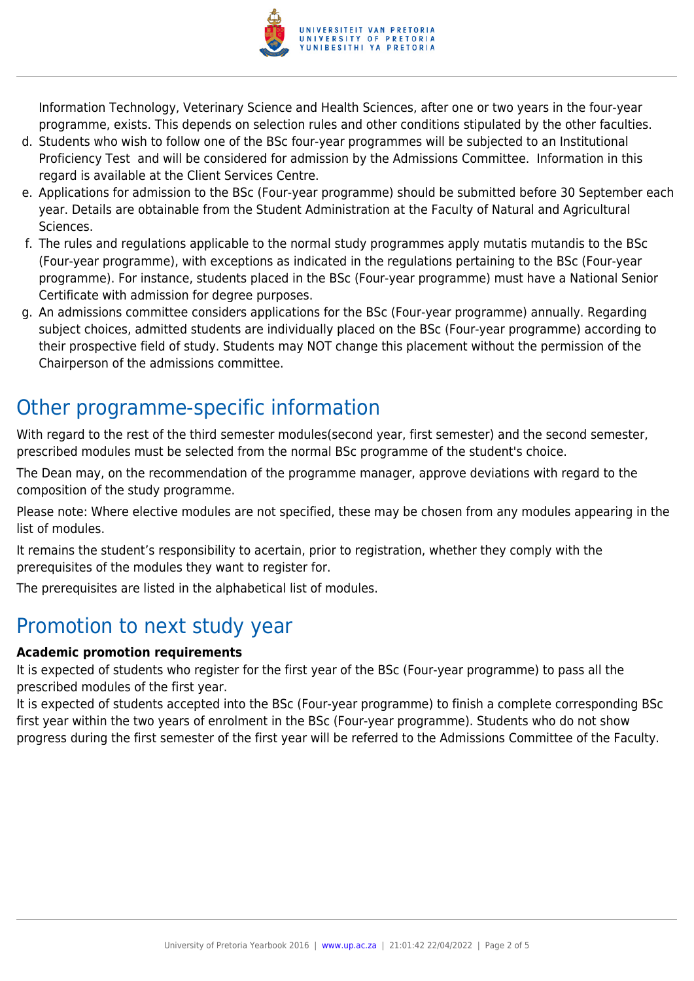

Information Technology, Veterinary Science and Health Sciences, after one or two years in the four-year programme, exists. This depends on selection rules and other conditions stipulated by the other faculties.

- d. Students who wish to follow one of the BSc four-year programmes will be subjected to an Institutional Proficiency Test and will be considered for admission by the Admissions Committee. Information in this regard is available at the Client Services Centre.
- e. Applications for admission to the BSc (Four-year programme) should be submitted before 30 September each year. Details are obtainable from the Student Administration at the Faculty of Natural and Agricultural Sciences.
- f. The rules and regulations applicable to the normal study programmes apply mutatis mutandis to the BSc (Four-year programme), with exceptions as indicated in the regulations pertaining to the BSc (Four-year programme). For instance, students placed in the BSc (Four-year programme) must have a National Senior Certificate with admission for degree purposes.
- g. An admissions committee considers applications for the BSc (Four-year programme) annually. Regarding subject choices, admitted students are individually placed on the BSc (Four-year programme) according to their prospective field of study. Students may NOT change this placement without the permission of the Chairperson of the admissions committee.

# Other programme-specific information

With regard to the rest of the third semester modules(second year, first semester) and the second semester, prescribed modules must be selected from the normal BSc programme of the student's choice.

The Dean may, on the recommendation of the programme manager, approve deviations with regard to the composition of the study programme.

Please note: Where elective modules are not specified, these may be chosen from any modules appearing in the list of modules.

It remains the student's responsibility to acertain, prior to registration, whether they comply with the prerequisites of the modules they want to register for.

The prerequisites are listed in the alphabetical list of modules.

### Promotion to next study year

#### **Academic promotion requirements**

It is expected of students who register for the first year of the BSc (Four-year programme) to pass all the prescribed modules of the first year.

It is expected of students accepted into the BSc (Four-year programme) to finish a complete corresponding BSc first year within the two years of enrolment in the BSc (Four-year programme). Students who do not show progress during the first semester of the first year will be referred to the Admissions Committee of the Faculty.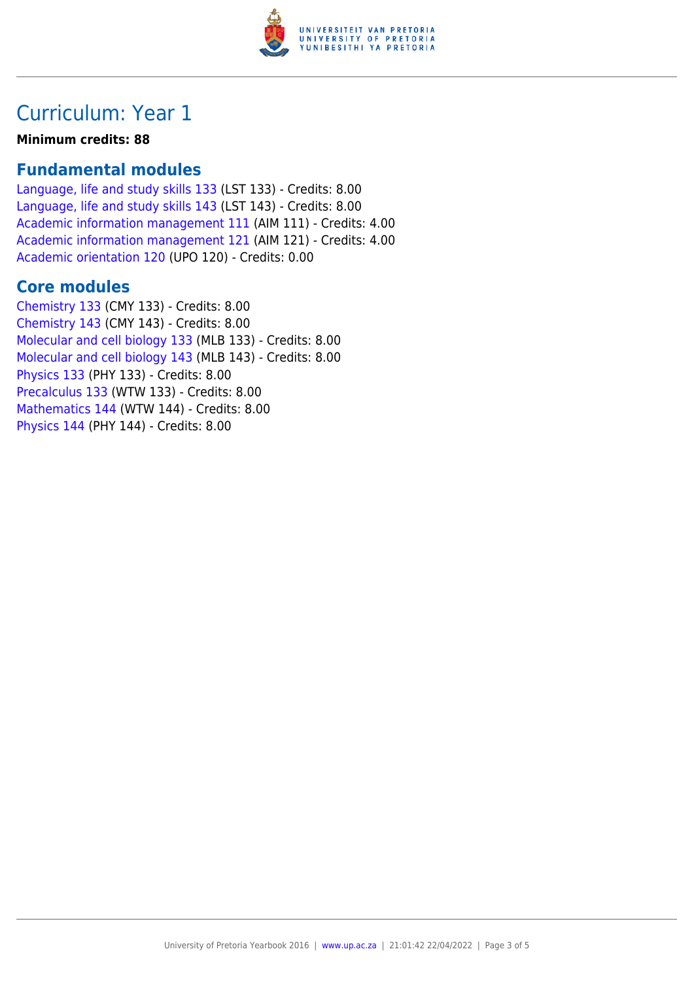

# Curriculum: Year 1

#### **Minimum credits: 88**

### **Fundamental modules**

[Language, life and study skills 133](https://www.up.ac.za/yearbooks/2016/modules/view/LST 133) (LST 133) - Credits: 8.00 [Language, life and study skills 143](https://www.up.ac.za/yearbooks/2016/modules/view/LST 143) (LST 143) - Credits: 8.00 [Academic information management 111](https://www.up.ac.za/yearbooks/2016/modules/view/AIM 111) (AIM 111) - Credits: 4.00 [Academic information management 121](https://www.up.ac.za/yearbooks/2016/modules/view/AIM 121) (AIM 121) - Credits: 4.00 [Academic orientation 120](https://www.up.ac.za/yearbooks/2016/modules/view/UPO 120) (UPO 120) - Credits: 0.00

### **Core modules**

[Chemistry 133](https://www.up.ac.za/yearbooks/2016/modules/view/CMY 133) (CMY 133) - Credits: 8.00 [Chemistry 143](https://www.up.ac.za/yearbooks/2016/modules/view/CMY 143) (CMY 143) - Credits: 8.00 [Molecular and cell biology 133](https://www.up.ac.za/yearbooks/2016/modules/view/MLB 133) (MLB 133) - Credits: 8.00 [Molecular and cell biology 143](https://www.up.ac.za/yearbooks/2016/modules/view/MLB 143) (MLB 143) - Credits: 8.00 [Physics 133](https://www.up.ac.za/yearbooks/2016/modules/view/PHY 133) (PHY 133) - Credits: 8.00 [Precalculus 133](https://www.up.ac.za/yearbooks/2016/modules/view/WTW 133) (WTW 133) - Credits: 8.00 [Mathematics 144](https://www.up.ac.za/yearbooks/2016/modules/view/WTW 144) (WTW 144) - Credits: 8.00 [Physics 144](https://www.up.ac.za/yearbooks/2016/modules/view/PHY 144) (PHY 144) - Credits: 8.00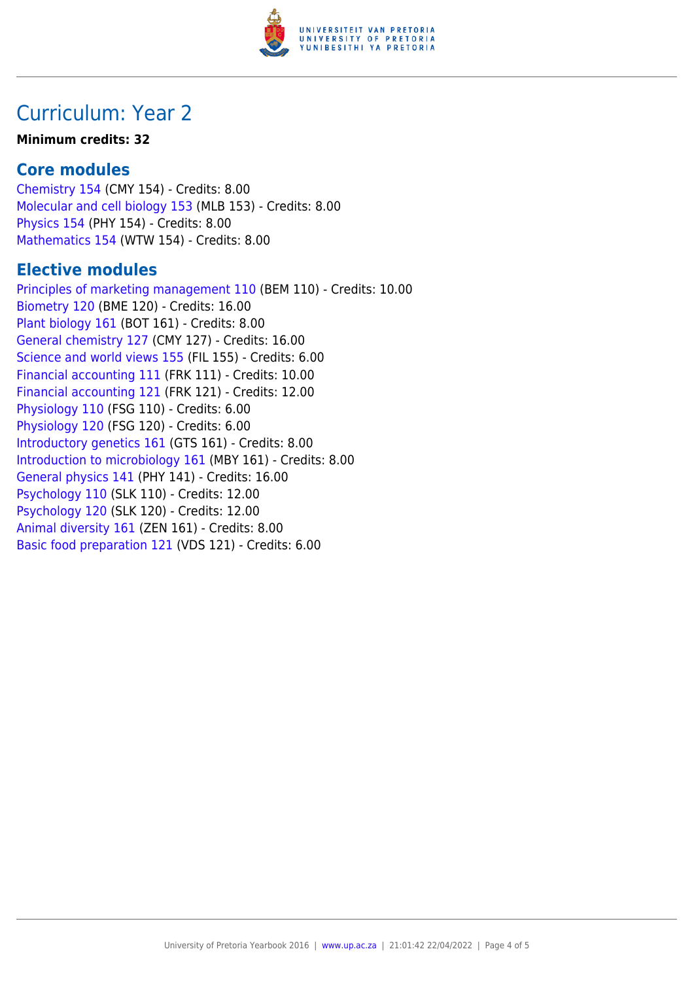

## Curriculum: Year 2

#### **Minimum credits: 32**

### **Core modules**

[Chemistry 154](https://www.up.ac.za/yearbooks/2016/modules/view/CMY 154) (CMY 154) - Credits: 8.00 [Molecular and cell biology 153](https://www.up.ac.za/yearbooks/2016/modules/view/MLB 153) (MLB 153) - Credits: 8.00 [Physics 154](https://www.up.ac.za/yearbooks/2016/modules/view/PHY 154) (PHY 154) - Credits: 8.00 [Mathematics 154](https://www.up.ac.za/yearbooks/2016/modules/view/WTW 154) (WTW 154) - Credits: 8.00

### **Elective modules**

[Principles of marketing management 110](https://www.up.ac.za/yearbooks/2016/modules/view/BEM 110) (BEM 110) - Credits: 10.00 [Biometry 120](https://www.up.ac.za/yearbooks/2016/modules/view/BME 120) (BME 120) - Credits: 16.00 [Plant biology 161](https://www.up.ac.za/yearbooks/2016/modules/view/BOT 161) (BOT 161) - Credits: 8.00 [General chemistry 127](https://www.up.ac.za/yearbooks/2016/modules/view/CMY 127) (CMY 127) - Credits: 16.00 [Science and world views 155](https://www.up.ac.za/yearbooks/2016/modules/view/FIL 155) (FIL 155) - Credits: 6.00 [Financial accounting 111](https://www.up.ac.za/yearbooks/2016/modules/view/FRK 111) (FRK 111) - Credits: 10.00 [Financial accounting 121](https://www.up.ac.za/yearbooks/2016/modules/view/FRK 121) (FRK 121) - Credits: 12.00 [Physiology 110](https://www.up.ac.za/yearbooks/2016/modules/view/FSG 110) (FSG 110) - Credits: 6.00 [Physiology 120](https://www.up.ac.za/yearbooks/2016/modules/view/FSG 120) (FSG 120) - Credits: 6.00 [Introductory genetics 161](https://www.up.ac.za/yearbooks/2016/modules/view/GTS 161) (GTS 161) - Credits: 8.00 [Introduction to microbiology 161](https://www.up.ac.za/yearbooks/2016/modules/view/MBY 161) (MBY 161) - Credits: 8.00 [General physics 141](https://www.up.ac.za/yearbooks/2016/modules/view/PHY 141) (PHY 141) - Credits: 16.00 [Psychology 110](https://www.up.ac.za/yearbooks/2016/modules/view/SLK 110) (SLK 110) - Credits: 12.00 [Psychology 120](https://www.up.ac.za/yearbooks/2016/modules/view/SLK 120) (SLK 120) - Credits: 12.00 [Animal diversity 161](https://www.up.ac.za/yearbooks/2016/modules/view/ZEN 161) (ZEN 161) - Credits: 8.00 [Basic food preparation 121](https://www.up.ac.za/yearbooks/2016/modules/view/VDS 121) (VDS 121) - Credits: 6.00